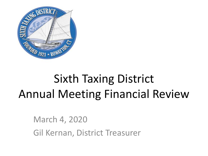

# Sixth Taxing District Annual Meeting Financial Review

March 4, 2020 Gil Kernan, District Treasurer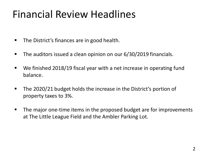### Financial Review Headlines

- The District's finances are in good health.
- **The auditors issued a clean opinion on our 6/30/2019 financials.**
- We finished 2018/19 fiscal year with a net increase in operating fund balance.
- The 2020/21 budget holds the increase in the District's portion of property taxes to 3%.
- The major one-time items in the proposed budget are for improvements at The Little League Field and the Ambler Parking Lot.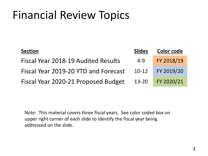| <b>Section</b>                       | <b>Slides</b> | <b>Color code</b> |
|--------------------------------------|---------------|-------------------|
| Fiscal Year 2018-19 Audited Results  | 4-9           | FY 2018/19        |
| Fiscal Year 2019-20 YTD and Forecast | $10-12$       | FY 2019/20        |
| Fiscal Year 2020-21 Proposed Budget  | $13 - 20$     | FY 2020/21        |

Note: This material covers three fiscal years. See color coded box on upper right corner of each slide to identify the fiscal year being addressed on the slide.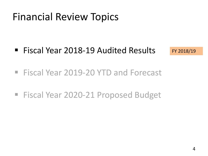■ Fiscal Year 2018-19 Audited Results

FY 2018/19

- Fiscal Year 2019-20 YTD and Forecast
- Fiscal Year 2020-21 Proposed Budget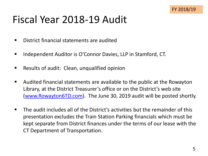#### Fiscal Year 2018-19 Audit

- District financial statements are audited
- Independent Auditor is O'Connor Davies, LLP in Stamford, CT.
- Results of audit: Clean, unqualified opinion
- Audited financial statements are available to the public at the Rowayton Library, at the District Treasurer's office or on the District's web site ([www.Rowayton6TD.com\)](http://www.rowayton6td.com/). The June 30, 2019 audit will be posted shortly.
- The audit includes all of the District's activities but the remainder of this presentation excludes the Train Station Parking financials which must be kept separate from District finances under the terms of our lease with the CT Department of Transportation.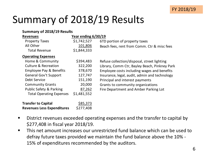### Summary of 2018/19 Results

#### **Summary of 2018/19 Results**

| <b>Revenues</b>                    | Year ending 6/30/19 |                                               |
|------------------------------------|---------------------|-----------------------------------------------|
| <b>Property Taxes</b>              | \$1,742,527         | 6TD portion of property taxes                 |
| All Other                          | 101,806             | Beach fees, rent from Comm. Ctr & misc fees   |
| <b>Total Revenue</b>               | \$1,844,333         |                                               |
| <b>Operating Expenses</b>          |                     |                                               |
| Home & Community                   | \$394,483           | Refuse collection/disposal, street lighting   |
| <b>Culture &amp; Recreation</b>    | 322,200             | Library, Comm Ctr, Bayley Beach, Pinkney Park |
| <b>Employee Pay &amp; Benefits</b> | 378,670             | Employee costs including wages and benefits   |
| <b>General Gov't Support</b>       | 127,747             | Insurance, legal, audit, admin and technology |
| Debt Service                       | 151,190             | Principal and interest payments               |
| <b>Community Grants</b>            | 20,000              | Grants to community organizations             |
| <b>Public Safety &amp; Parking</b> | 87,262              | Fire Department and Amber Parking Lot         |
| <b>Total Operating Expenses</b>    | \$1,481,552         |                                               |
| <b>Transfer to Capital</b>         | \$85,373            |                                               |
| <b>Revenues Less Expenditures</b>  | \$277,408           |                                               |

- District revenues exceeded operating expenses and the transfer to capital by \$277,408 in fiscal year 2018/19.
- This net amount increases our unrestricted fund balance which can be used to defray future taxes provided we maintain the fund balance above the 10% - 15% of expenditures recommended by the auditors.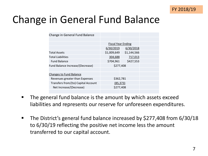

#### Change in General Fund Balance

| Change in General Fund Balance      |                           |             |  |
|-------------------------------------|---------------------------|-------------|--|
|                                     |                           |             |  |
|                                     | <b>Fiscal Year Ending</b> |             |  |
|                                     | 6/30/2019                 | 6/30/2018   |  |
| <b>Total Assets</b>                 | \$1,009,649               | \$1,144,566 |  |
| <b>Total Liabilities</b>            | 304,688                   | 717,013     |  |
| <b>Fund Balance</b>                 | \$704,961                 | \$427,553   |  |
| Fund Balance Increase/(Decrease)    | \$277,408                 |             |  |
|                                     |                           |             |  |
| <b>Changes to Fund Balance</b>      |                           |             |  |
| Revenues greater than Expenses      | \$362,781                 |             |  |
| Transfers from/(to) Capital Account | (85, 373)                 |             |  |
| Net Increase/(Decrease)             | \$277,408                 |             |  |
|                                     |                           |             |  |

- The general fund balance is the amount by which assets exceed liabilities and represents our reserve for unforeseen expenditures.
- The District's general fund balance increased by \$277,408 from 6/30/18 to 6/30/19 reflecting the positive net income less the amount transferred to our capital account.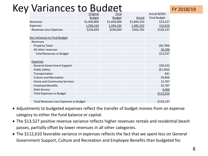#### Key Variances to Budget

|                                        | Original      | Final         |             | Actual $B/(W)$      |
|----------------------------------------|---------------|---------------|-------------|---------------------|
|                                        | <b>Budget</b> | <b>Budget</b> | Actual      | <b>Final Budget</b> |
| Revenues                               | \$1,830,806   | \$1,830,806   | \$1,844,333 | \$13,527            |
| <b>Expenses</b>                        | 1,594,162     | 1,594,162     | 1,481,552   | 112,610             |
| Revenues Less Expenses                 | \$236,644     | \$236,644     | \$362,781   | \$126,137           |
|                                        |               |               |             |                     |
| <b>Key Variances to Final Budget</b>   |               |               |             |                     |
| Revenues                               |               |               |             |                     |
| <b>Property Taxes</b>                  |               |               |             | (56, 769)           |
| All other revenues                     |               |               |             | 20,296              |
| <b>Total Revenues vs Budget</b>        |               |               |             | \$13,527            |
|                                        |               |               |             |                     |
| <b>Expenses</b>                        |               |               |             |                     |
| <b>General Government Support</b>      |               |               |             | \$29,422            |
| <b>Public Safety</b>                   |               |               |             | (51,903)            |
| Transportation                         |               |               |             | 641                 |
| <b>Culture and Recreation</b>          |               |               |             | 29,850              |
| Home and Community Services            |               |               |             | 12,767              |
| <b>Employee Benefits</b>               |               |               |             | 35,767              |
| <b>Debt Service</b>                    |               |               |             | 6,066               |
| <b>Total Expenses vs Budget</b>        |               |               |             | \$112,610           |
|                                        |               |               |             |                     |
| Total Revenues Less Expenses vs Budget |               |               |             | \$126,137           |

- Adjustments to budgeted expenses reflect the transfer of budget monies from an expense category to either the fund balance or capital.
- The \$13,527 positive revenue variance reflects higher revenues rentals and residential beach passes, partially offset by lower revenues in all other categories.
- The \$112,610 favorable variance in expenses reflects the fact that we spent less on General Government Support, Culture and Recreation and Employee Benefits than budgeted for.

FY 2018/19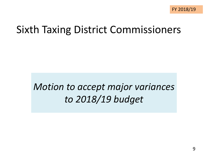#### Sixth Taxing District Commissioners

#### *Motion to accept major variances to 2018/19 budget*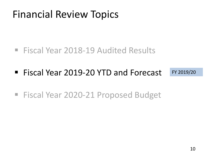- Fiscal Year 2018-19 Audited Results
- Fiscal Year 2019-20 YTD and Forecast FY 2019/20
- Fiscal Year 2020-21 Proposed Budget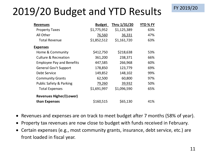### 2019/20 Budget and YTD Results

| <b>Revenues</b>                  | <b>Budget</b> | Thru 1/31/20 | YTD % FY |
|----------------------------------|---------------|--------------|----------|
| <b>Property Taxes</b>            | \$1,775,952   | \$1,125,389  | 63%      |
| All Other                        | 76,560        | 36,331       | 47%      |
| <b>Total Revenue</b>             | \$1,852,512   | \$1,161,720  | 63%      |
| <b>Expenses</b>                  |               |              |          |
| Home & Community                 | \$412,750     | \$218,638    | 53%      |
| Culture & Recreation             | 361,200       | 238,371      | 66%      |
| <b>Employee Pay and Benefits</b> | 447,585       | 266,968      | 60%      |
| <b>General Gov't Support</b>     | 178,850       | 123,779      | 69%      |
| Debt Service                     | 149,852       | 148,102      | 99%      |
| <b>Community Grants</b>          | 62,500        | 60,800       | 97%      |
| Public Safety & Parking          | 79,260        | 39,932       | 50%      |
| <b>Total Expenses</b>            | \$1,691,997   | \$1,096,590  | 65%      |
| <b>Revenues Higher/(Lower)</b>   |               |              |          |
| than Expenses                    | \$160,515     | \$65,130     | 41%      |

- Revenues and expenses are on track to meet budget after 7 months (58% of year).
- Property tax revenues are now close to budget with funds received in February.
- Certain expenses (e.g., most community grants, insurance, debt service, etc.) are front loaded in fiscal year.

FY 2019/20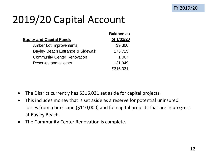### 2019/20 Capital Account

|                                    | <b>Balance as</b> |
|------------------------------------|-------------------|
| <b>Equity and Capital Funds</b>    | of 1/31/20        |
| Amber Lot Improvements             | \$9,300           |
| Bayley Beach Entrance & Sidewalk   | 173,715           |
| <b>Community Center Renovation</b> | 1,067             |
| Reserves and all other             | 131,949           |
|                                    | \$316,031         |

- The District currently has \$316,031 set aside for capital projects.
- This includes money that is set aside as a reserve for potential uninsured losses from a hurricane (\$110,000) and for capital projects that are in progress at Bayley Beach.
- The Community Center Renovation is complete.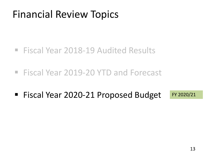- Fiscal Year 2018-19 Audited Results
- Fiscal Year 2019-20 YTD and Forecast
- Fiscal Year 2020-21 Proposed Budget FY 2020/21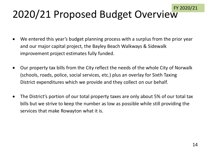## 2020/21 Proposed Budget Overview

- We entered this year's budget planning process with a surplus from the prior year and our major capital project, the Bayley Beach Walkways & Sidewalk improvement project estimates fully funded.
- Our property tax bills from the City reflect the needs of the whole City of Norwalk (schools, roads, police, social services, etc.) plus an overlay for Sixth Taxing District expenditures which we provide and they collect on our behalf.
- The District's portion of our total property taxes are only about 5% of our total tax bills but we strive to keep the number as low as possible while still providing the services that make Rowayton what it is.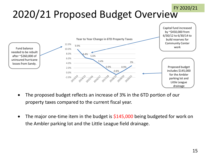#### 2020/21 Proposed Budget Overview FY 2020/21



- The proposed budget reflects an increase of 3% in the 6TD portion of our property taxes compared to the current fiscal year.
- The major one-time item in the budget is  $$145,000$  being budgeted for work on the Ambler parking lot and the Little League field drainage.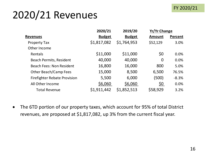#### FY 2020/21

### 2020/21 Revenues

|                                     | 2020/21       | 2019/20       | <b>Yr/Yr Change</b> |         |
|-------------------------------------|---------------|---------------|---------------------|---------|
| <b>Revenues</b>                     | <b>Budget</b> | <b>Budget</b> | <b>Amount</b>       | Percent |
| <b>Property Tax</b>                 | \$1,817,082   | \$1,764,953   | \$52,129            | 3.0%    |
| Other Income                        |               |               |                     |         |
| Rentals                             | \$11,000      | \$11,000      | \$0                 | 0.0%    |
| <b>Beach Permits, Resident</b>      | 40,000        | 40,000        | 0                   | 0.0%    |
| <b>Beach Fees: Non Resident</b>     | 16,800        | 16,000        | 800                 | 5.0%    |
| Other Beach/Camp Fees               | 15,000        | 8,500         | 6,500               | 76.5%   |
| <b>Firefighter Rebate Provision</b> | 5,500         | 6,000         | (500)               | $-8.3%$ |
| All Other Income                    | \$6,060       | \$6,060       | <u>\$0</u>          | 0.0%    |
| <b>Total Revenue</b>                | \$1,911,442   | \$1,852,513   | \$58,929            | 3.2%    |

• The 6TD portion of our property taxes, which account for 95% of total District revenues, are proposed at \$1,817,082, up 3% from the current fiscal year.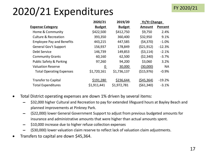#### 2020/21 Expenditures

|                                    | 2020/21         | 2019/20       | <b>Yr/Yr Change</b> |           |
|------------------------------------|-----------------|---------------|---------------------|-----------|
| <b>Expense Category</b>            | <b>Budget</b>   | <b>Budget</b> | <b>Amount</b>       | Percent   |
| Home & Community                   | \$422,500       | \$412,750     | \$9,750             | 2.4%      |
| <b>Culture &amp; Recreation</b>    | 393,350         | 360,400       | \$32,950            | 9.1%      |
| <b>Employee Pay and Benefits</b>   | 443,215         | 447,585       | (54,370)            | $-1.0%$   |
| General Gov't Support              | 156,937         | 178,849       | (521, 912)          | $-12.3%$  |
| <b>Debt Service</b>                | 146,739         | 149,853       | (53, 114)           | $-2.1%$   |
| <b>Community Grants</b>            | 60,160          | 62,500        | (52, 340)           | $-3.7%$   |
| <b>Public Safety &amp; Parking</b> | 97,260          | 94,200        | \$3,060             | 3.2%      |
| <b>Valuation Reserve</b>           | $\underline{0}$ | 30,000        | (30,000)            | <b>NA</b> |
| <b>Total Operating Expenses</b>    | \$1,720,161     | \$1,736,137   | (\$15,976)          | $-0.9%$   |
| <b>Transfer to Capital</b>         | \$191,280       | \$236,644     | (545, 364)          | $-19.2%$  |
| <b>Total Expenditures</b>          | \$1,911,441     | \$1,972,781   | (561,340)           | $-3.1%$   |

- Total District operating expenses are down 1% driven by several items:
	- \$32,000 higher Cultural and Recreation to pay for extended lifeguard hours at Bayley Beach and planned improvements at Pinkney Park.
	- $-$  (\$22,000) lower General Government Support to adjust from previous budgeted amounts for insurance and administrative amounts that were higher than actual amounts spent.
	- ▬ \$10,000 increase due to higher refuse collection expenses
	- ▬ (\$30,000) lower valuation claim reserve to reflect lack of valuation claim adjustments.
- Transfers to capital are down \$45,364.

FY 2020/21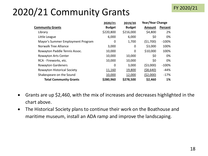#### 2020/21 Community Grants

|                                    | 2020/21       | 2019/20       | Year/Year Change |           |
|------------------------------------|---------------|---------------|------------------|-----------|
| <b>Community Grants</b>            | <b>Budget</b> | <b>Budget</b> | Amount           | Percent   |
| Library                            | \$220,800     | \$216,000     | \$4,800          | 2%        |
| Little League                      | 6,000         | 6,000         | \$0              | 0%        |
| Mayor's Summer Employment Program  | 0             | 1,700         | (51,700)         | $-100%$   |
| <b>Norwalk Tree Alliance</b>       | 3,000         | 0             | \$3,000          | 100%      |
| Rowayton Paddle Tennis Assoc.      | 10,000        | 0             | \$10,000         | 100%      |
| <b>Rowayton Arts Center</b>        | 10,000        | 10,000        | \$0              | 0%        |
| RCA - Fireworks, etc.              | 10,000        | 10,000        | \$0              | 0%        |
| <b>Rowayton Gardeners</b>          | 0             | 3,000         | ( \$3,000)       | $-100%$   |
| <b>Rowayton Historical Society</b> | 11,160        | 19,800        | ( \$8,640)       | -44%      |
| Shakespeare on the Sound           | 10,000        | 12,000        | (52,000)         | $-17%$    |
| <b>Total Community Grants</b>      | \$280,960     | \$278,500     | \$2,460          | <b>1%</b> |

- Grants are up \$2,460, with the mix of increases and decreases highlighted in the chart above.
- The Historical Society plans to continue their work on the Boathouse and maritime museum, install an ADA ramp and improve the landscaping.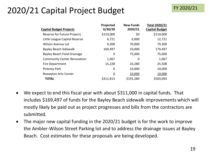#### 2020/21 Capital Project Budget

| <b>Capital Budget Projects</b>     | Projected<br>6/30/20 | <b>New Funds</b><br>2020/21 | <b>Total 2020/21</b><br><b>Capital Budget</b> |
|------------------------------------|----------------------|-----------------------------|-----------------------------------------------|
| Reserve for Future Projects        | \$110,000            | \$0                         | \$110,000                                     |
| Little League Capital Reserve      | 6,721                | 6,000                       | 12,721                                        |
| Wilson Avenue Lot                  | 9,300                | 70,000                      | 79,300                                        |
| <b>Bayley Beach Sidewalk</b>       | 169,497              | 10,000                      | 179,497                                       |
| Bayley Beach Field Drainage        | 0                    | 75,000                      | 75,000                                        |
| <b>Community Center Renovation</b> | 1,067                | 0                           | 1,067                                         |
| <b>Fire Department</b>             | 15,228               | 10,280                      | 25,508                                        |
| Pinkney Park                       | 0                    | 10,000                      | 10,000                                        |
| <b>Rowayton Arts Center</b>        | $\overline{0}$       | 10,000                      | 10,000                                        |
| <b>TOTAL</b>                       | \$311,813            | \$191,280                   | \$503,093                                     |

- We expect to end this fiscal year with about \$311,000 in capital funds. That includes \$169,497 of funds for the Bayley Beach sidewalk improvements which will mostly likely be paid out as project progresses and bills from the contractors are submitted.
- The major new capital funding in the 2020/21 budget is for the work to improve the Ambler-Wilson Street Parking lot and to address the drainage issues at Bayley Beach. Cost estimates for these proposals are being developed.

FY 2020/21